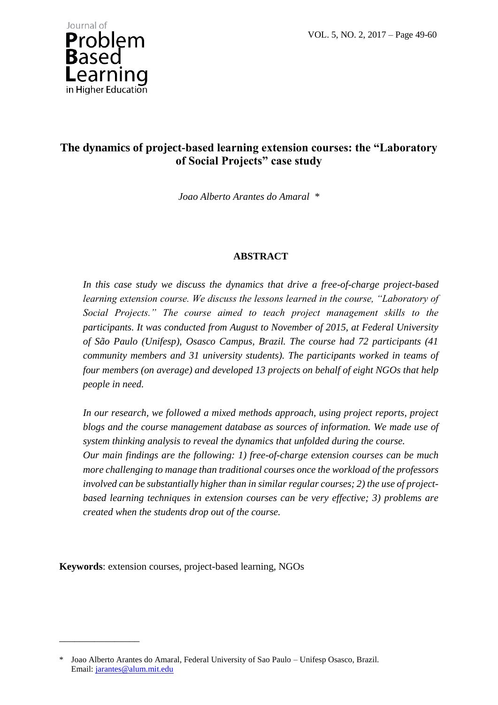VOL. 5, NO. 2, 2017 – Page 49-60



# **The dynamics of project-based learning extension courses: the "Laboratory of Social Projects" case study**

*Joao Alberto Arantes do Amaral \**

# **ABSTRACT**

*In this case study we discuss the dynamics that drive a free-of-charge project-based learning extension course. We discuss the lessons learned in the course, "Laboratory of Social Projects." The course aimed to teach project management skills to the participants. It was conducted from August to November of 2015, at Federal University of São Paulo (Unifesp), Osasco Campus, Brazil. The course had 72 participants (41 community members and 31 university students). The participants worked in teams of four members (on average) and developed 13 projects on behalf of eight NGOs that help people in need.* 

*In our research, we followed a mixed methods approach, using project reports, project*  blogs and the course management database as sources of information. We made use of *system thinking analysis to reveal the dynamics that unfolded during the course. Our main findings are the following: 1) free-of-charge extension courses can be much more challenging to manage than traditional courses once the workload of the professors involved can be substantially higher than in similar regular courses; 2) the use of projectbased learning techniques in extension courses can be very effective; 3) problems are created when the students drop out of the course.* 

**Keywords**: extension courses, project-based learning, NGOs

\_\_\_\_\_\_\_\_\_\_\_\_\_\_\_\_

<sup>\*</sup> Joao Alberto Arantes do Amaral, Federal University of Sao Paulo – Unifesp Osasco, Brazil. Email: [jarantes@alum.mit.edu](mailto:jarantes@alum.mit.edu)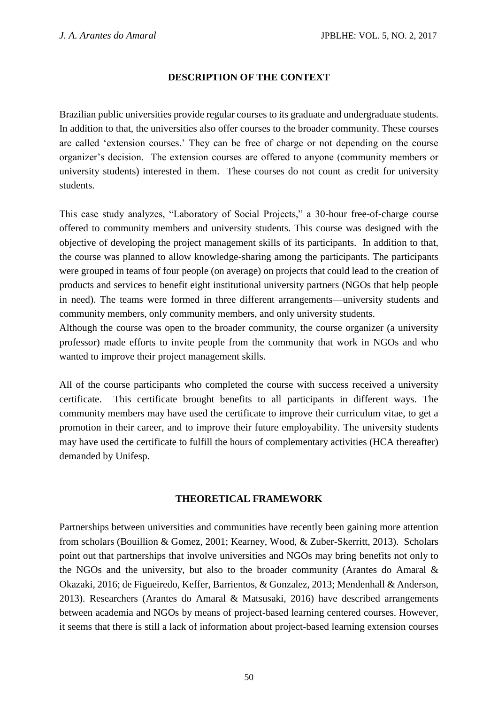### **DESCRIPTION OF THE CONTEXT**

Brazilian public universities provide regular courses to its graduate and undergraduate students. In addition to that, the universities also offer courses to the broader community. These courses are called 'extension courses.' They can be free of charge or not depending on the course organizer's decision. The extension courses are offered to anyone (community members or university students) interested in them. These courses do not count as credit for university students.

This case study analyzes, "Laboratory of Social Projects," a 30-hour free-of-charge course offered to community members and university students. This course was designed with the objective of developing the project management skills of its participants. In addition to that, the course was planned to allow knowledge-sharing among the participants. The participants were grouped in teams of four people (on average) on projects that could lead to the creation of products and services to benefit eight institutional university partners (NGOs that help people in need). The teams were formed in three different arrangements—university students and community members, only community members, and only university students.

Although the course was open to the broader community, the course organizer (a university professor) made efforts to invite people from the community that work in NGOs and who wanted to improve their project management skills.

All of the course participants who completed the course with success received a university certificate. This certificate brought benefits to all participants in different ways. The community members may have used the certificate to improve their curriculum vitae, to get a promotion in their career, and to improve their future employability. The university students may have used the certificate to fulfill the hours of complementary activities (HCA thereafter) demanded by Unifesp.

#### **THEORETICAL FRAMEWORK**

Partnerships between universities and communities have recently been gaining more attention from scholars (Bouillion & Gomez, 2001; Kearney, Wood, & Zuber-Skerritt, 2013). Scholars point out that partnerships that involve universities and NGOs may bring benefits not only to the NGOs and the university, but also to the broader community (Arantes do Amaral & Okazaki, 2016; de Figueiredo, Keffer, Barrientos, & Gonzalez, 2013; Mendenhall & Anderson, 2013). Researchers (Arantes do Amaral & Matsusaki, 2016) have described arrangements between academia and NGOs by means of project-based learning centered courses. However, it seems that there is still a lack of information about project-based learning extension courses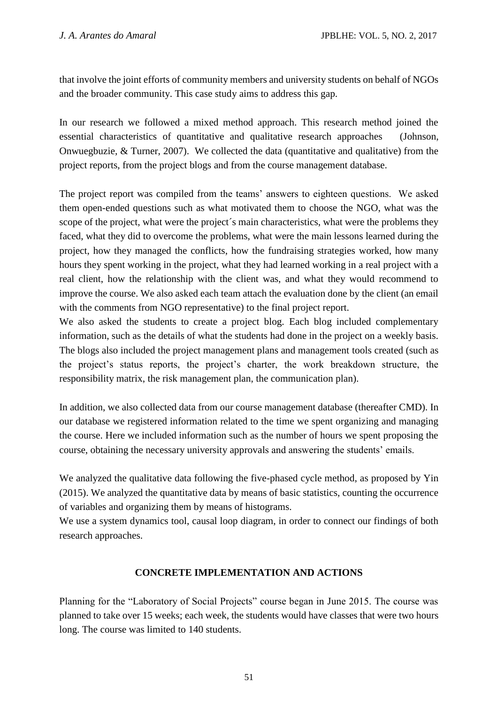that involve the joint efforts of community members and university students on behalf of NGOs and the broader community. This case study aims to address this gap.

In our research we followed a mixed method approach. This research method joined the essential characteristics of quantitative and qualitative research approaches (Johnson, Onwuegbuzie, & Turner, 2007). We collected the data (quantitative and qualitative) from the project reports, from the project blogs and from the course management database.

The project report was compiled from the teams' answers to eighteen questions. We asked them open-ended questions such as what motivated them to choose the NGO, what was the scope of the project, what were the project's main characteristics, what were the problems they faced, what they did to overcome the problems, what were the main lessons learned during the project, how they managed the conflicts, how the fundraising strategies worked, how many hours they spent working in the project, what they had learned working in a real project with a real client, how the relationship with the client was, and what they would recommend to improve the course. We also asked each team attach the evaluation done by the client (an email with the comments from NGO representative) to the final project report.

We also asked the students to create a project blog. Each blog included complementary information, such as the details of what the students had done in the project on a weekly basis. The blogs also included the project management plans and management tools created (such as the project's status reports, the project's charter, the work breakdown structure, the responsibility matrix, the risk management plan, the communication plan).

In addition, we also collected data from our course management database (thereafter CMD). In our database we registered information related to the time we spent organizing and managing the course. Here we included information such as the number of hours we spent proposing the course, obtaining the necessary university approvals and answering the students' emails.

We analyzed the qualitative data following the five-phased cycle method, as proposed by Yin (2015). We analyzed the quantitative data by means of basic statistics, counting the occurrence of variables and organizing them by means of histograms.

We use a system dynamics tool, causal loop diagram, in order to connect our findings of both research approaches.

# **CONCRETE IMPLEMENTATION AND ACTIONS**

Planning for the "Laboratory of Social Projects" course began in June 2015. The course was planned to take over 15 weeks; each week, the students would have classes that were two hours long. The course was limited to 140 students.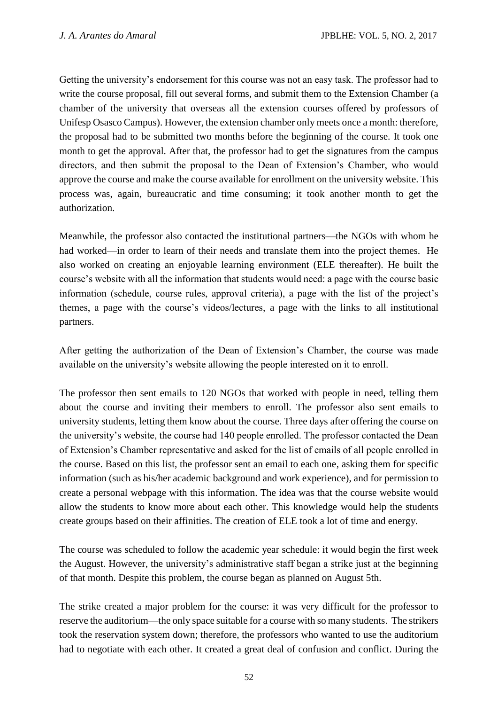Getting the university's endorsement for this course was not an easy task. The professor had to write the course proposal, fill out several forms, and submit them to the Extension Chamber (a chamber of the university that overseas all the extension courses offered by professors of Unifesp Osasco Campus). However, the extension chamber only meets once a month: therefore, the proposal had to be submitted two months before the beginning of the course. It took one month to get the approval. After that, the professor had to get the signatures from the campus directors, and then submit the proposal to the Dean of Extension's Chamber, who would approve the course and make the course available for enrollment on the university website. This process was, again, bureaucratic and time consuming; it took another month to get the authorization.

Meanwhile, the professor also contacted the institutional partners—the NGOs with whom he had worked—in order to learn of their needs and translate them into the project themes. He also worked on creating an enjoyable learning environment (ELE thereafter). He built the course's website with all the information that students would need: a page with the course basic information (schedule, course rules, approval criteria), a page with the list of the project's themes, a page with the course's videos/lectures, a page with the links to all institutional partners.

After getting the authorization of the Dean of Extension's Chamber, the course was made available on the university's website allowing the people interested on it to enroll.

The professor then sent emails to 120 NGOs that worked with people in need, telling them about the course and inviting their members to enroll. The professor also sent emails to university students, letting them know about the course. Three days after offering the course on the university's website, the course had 140 people enrolled. The professor contacted the Dean of Extension's Chamber representative and asked for the list of emails of all people enrolled in the course. Based on this list, the professor sent an email to each one, asking them for specific information (such as his/her academic background and work experience), and for permission to create a personal webpage with this information. The idea was that the course website would allow the students to know more about each other. This knowledge would help the students create groups based on their affinities. The creation of ELE took a lot of time and energy.

The course was scheduled to follow the academic year schedule: it would begin the first week the August. However, the university's administrative staff began a strike just at the beginning of that month. Despite this problem, the course began as planned on August 5th.

The strike created a major problem for the course: it was very difficult for the professor to reserve the auditorium—the only space suitable for a course with so many students. The strikers took the reservation system down; therefore, the professors who wanted to use the auditorium had to negotiate with each other. It created a great deal of confusion and conflict. During the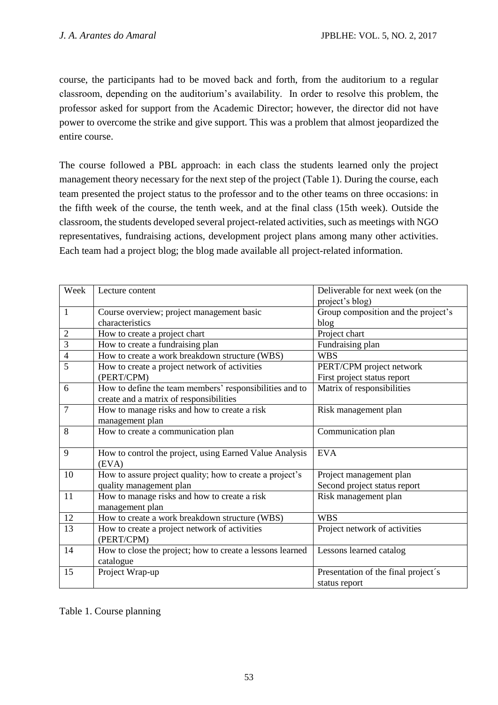course, the participants had to be moved back and forth, from the auditorium to a regular classroom, depending on the auditorium's availability. In order to resolve this problem, the professor asked for support from the Academic Director; however, the director did not have power to overcome the strike and give support. This was a problem that almost jeopardized the entire course.

The course followed a PBL approach: in each class the students learned only the project management theory necessary for the next step of the project (Table 1). During the course, each team presented the project status to the professor and to the other teams on three occasions: in the fifth week of the course, the tenth week, and at the final class (15th week). Outside the classroom, the students developed several project-related activities, such as meetings with NGO representatives, fundraising actions, development project plans among many other activities. Each team had a project blog; the blog made available all project-related information.

| Week           | Lecture content                                           | Deliverable for next week (on the   |  |
|----------------|-----------------------------------------------------------|-------------------------------------|--|
|                |                                                           | project's blog)                     |  |
| $\mathbf{1}$   | Course overview; project management basic                 | Group composition and the project's |  |
|                | characteristics                                           | blog                                |  |
| $\overline{c}$ | How to create a project chart                             | Project chart                       |  |
| $\overline{3}$ | How to create a fundraising plan                          | Fundraising plan                    |  |
| $\overline{4}$ | How to create a work breakdown structure (WBS)            | <b>WBS</b>                          |  |
| 5              | How to create a project network of activities             | PERT/CPM project network            |  |
|                | (PERT/CPM)                                                | First project status report         |  |
| 6              | How to define the team members' responsibilities and to   | Matrix of responsibilities          |  |
|                | create and a matrix of responsibilities                   |                                     |  |
| $\overline{7}$ | How to manage risks and how to create a risk              | Risk management plan                |  |
|                | management plan                                           |                                     |  |
| 8              | How to create a communication plan                        | Communication plan                  |  |
|                |                                                           |                                     |  |
| 9              | How to control the project, using Earned Value Analysis   | <b>EVA</b>                          |  |
|                | (EVA)                                                     |                                     |  |
| 10             | How to assure project quality; how to create a project's  | Project management plan             |  |
|                | quality management plan                                   | Second project status report        |  |
| 11             | How to manage risks and how to create a risk              | Risk management plan                |  |
|                | management plan                                           |                                     |  |
| 12             | How to create a work breakdown structure (WBS)            | <b>WBS</b>                          |  |
| 13             | How to create a project network of activities             | Project network of activities       |  |
|                | (PERT/CPM)                                                |                                     |  |
| 14             | How to close the project; how to create a lessons learned | Lessons learned catalog             |  |
|                | catalogue                                                 |                                     |  |
| 15             | Project Wrap-up                                           | Presentation of the final project's |  |
|                |                                                           | status report                       |  |

Table 1. Course planning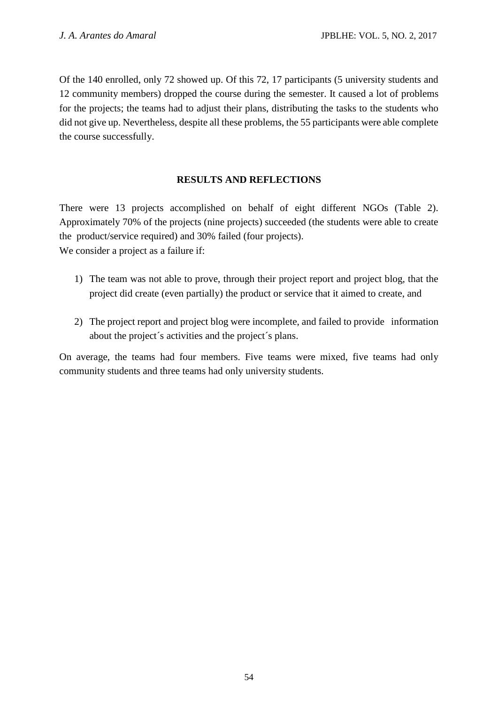Of the 140 enrolled, only 72 showed up. Of this 72, 17 participants (5 university students and 12 community members) dropped the course during the semester. It caused a lot of problems for the projects; the teams had to adjust their plans, distributing the tasks to the students who did not give up. Nevertheless, despite all these problems, the 55 participants were able complete the course successfully.

# **RESULTS AND REFLECTIONS**

There were 13 projects accomplished on behalf of eight different NGOs (Table 2). Approximately 70% of the projects (nine projects) succeeded (the students were able to create the product/service required) and 30% failed (four projects). We consider a project as a failure if:

- 1) The team was not able to prove, through their project report and project blog, that the project did create (even partially) the product or service that it aimed to create, and
- 2) The project report and project blog were incomplete, and failed to provide information about the project´s activities and the project´s plans.

On average, the teams had four members. Five teams were mixed, five teams had only community students and three teams had only university students.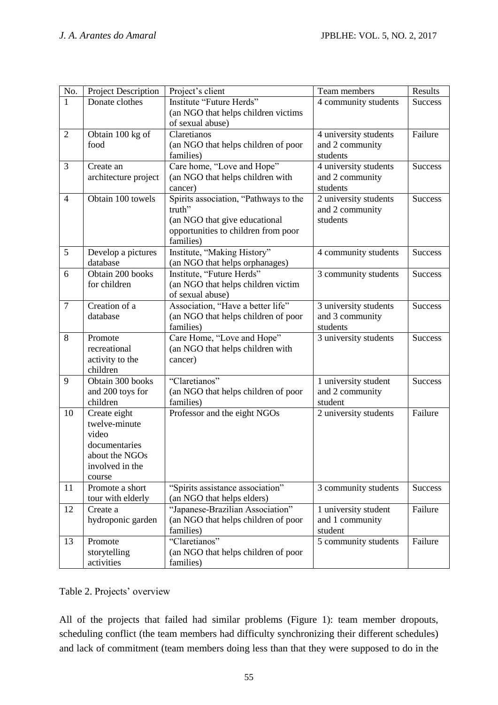| No.                                        | <b>Project Description</b>                                                                                                                                                                                                                                                                                                                               | Project's client                                                                                                                                                                                                                                                                                                                                                                                                                                                                                          | Team members                                                                                                                                                                                                                                            | Results                                                                                    |
|--------------------------------------------|----------------------------------------------------------------------------------------------------------------------------------------------------------------------------------------------------------------------------------------------------------------------------------------------------------------------------------------------------------|-----------------------------------------------------------------------------------------------------------------------------------------------------------------------------------------------------------------------------------------------------------------------------------------------------------------------------------------------------------------------------------------------------------------------------------------------------------------------------------------------------------|---------------------------------------------------------------------------------------------------------------------------------------------------------------------------------------------------------------------------------------------------------|--------------------------------------------------------------------------------------------|
| $\mathbf{1}$                               | Donate clothes                                                                                                                                                                                                                                                                                                                                           | Institute "Future Herds"                                                                                                                                                                                                                                                                                                                                                                                                                                                                                  | 4 community students                                                                                                                                                                                                                                    | <b>Success</b>                                                                             |
|                                            |                                                                                                                                                                                                                                                                                                                                                          | (an NGO that helps children victims                                                                                                                                                                                                                                                                                                                                                                                                                                                                       |                                                                                                                                                                                                                                                         |                                                                                            |
|                                            |                                                                                                                                                                                                                                                                                                                                                          | of sexual abuse)                                                                                                                                                                                                                                                                                                                                                                                                                                                                                          |                                                                                                                                                                                                                                                         |                                                                                            |
| $\overline{2}$                             | Obtain 100 kg of                                                                                                                                                                                                                                                                                                                                         | Claretianos                                                                                                                                                                                                                                                                                                                                                                                                                                                                                               | 4 university students                                                                                                                                                                                                                                   | Failure                                                                                    |
|                                            | food                                                                                                                                                                                                                                                                                                                                                     | (an NGO that helps children of poor                                                                                                                                                                                                                                                                                                                                                                                                                                                                       | and 2 community                                                                                                                                                                                                                                         |                                                                                            |
|                                            |                                                                                                                                                                                                                                                                                                                                                          | families)                                                                                                                                                                                                                                                                                                                                                                                                                                                                                                 | students                                                                                                                                                                                                                                                |                                                                                            |
| 3                                          | Create an                                                                                                                                                                                                                                                                                                                                                | Care home, "Love and Hope"                                                                                                                                                                                                                                                                                                                                                                                                                                                                                | 4 university students                                                                                                                                                                                                                                   | <b>Success</b>                                                                             |
|                                            | architecture project                                                                                                                                                                                                                                                                                                                                     | (an NGO that helps children with                                                                                                                                                                                                                                                                                                                                                                                                                                                                          | and 2 community                                                                                                                                                                                                                                         |                                                                                            |
|                                            |                                                                                                                                                                                                                                                                                                                                                          | cancer)                                                                                                                                                                                                                                                                                                                                                                                                                                                                                                   | students                                                                                                                                                                                                                                                |                                                                                            |
| $\overline{4}$                             | Obtain 100 towels                                                                                                                                                                                                                                                                                                                                        | Spirits association, "Pathways to the                                                                                                                                                                                                                                                                                                                                                                                                                                                                     | 2 university students                                                                                                                                                                                                                                   | <b>Success</b>                                                                             |
|                                            |                                                                                                                                                                                                                                                                                                                                                          | truth"                                                                                                                                                                                                                                                                                                                                                                                                                                                                                                    | and 2 community                                                                                                                                                                                                                                         |                                                                                            |
|                                            |                                                                                                                                                                                                                                                                                                                                                          | (an NGO that give educational                                                                                                                                                                                                                                                                                                                                                                                                                                                                             | students                                                                                                                                                                                                                                                |                                                                                            |
|                                            |                                                                                                                                                                                                                                                                                                                                                          | opportunities to children from poor                                                                                                                                                                                                                                                                                                                                                                                                                                                                       |                                                                                                                                                                                                                                                         |                                                                                            |
|                                            |                                                                                                                                                                                                                                                                                                                                                          | families)                                                                                                                                                                                                                                                                                                                                                                                                                                                                                                 |                                                                                                                                                                                                                                                         |                                                                                            |
| $\overline{5}$                             | Develop a pictures                                                                                                                                                                                                                                                                                                                                       | Institute, "Making History"                                                                                                                                                                                                                                                                                                                                                                                                                                                                               | 4 community students                                                                                                                                                                                                                                    | Success                                                                                    |
|                                            | database                                                                                                                                                                                                                                                                                                                                                 | (an NGO that helps orphanages)                                                                                                                                                                                                                                                                                                                                                                                                                                                                            |                                                                                                                                                                                                                                                         |                                                                                            |
| 6                                          | Obtain 200 books                                                                                                                                                                                                                                                                                                                                         | Institute, "Future Herds"                                                                                                                                                                                                                                                                                                                                                                                                                                                                                 | 3 community students                                                                                                                                                                                                                                    | <b>Success</b>                                                                             |
|                                            | for children                                                                                                                                                                                                                                                                                                                                             | (an NGO that helps children victim                                                                                                                                                                                                                                                                                                                                                                                                                                                                        |                                                                                                                                                                                                                                                         |                                                                                            |
|                                            |                                                                                                                                                                                                                                                                                                                                                          |                                                                                                                                                                                                                                                                                                                                                                                                                                                                                                           |                                                                                                                                                                                                                                                         |                                                                                            |
|                                            |                                                                                                                                                                                                                                                                                                                                                          |                                                                                                                                                                                                                                                                                                                                                                                                                                                                                                           |                                                                                                                                                                                                                                                         |                                                                                            |
|                                            |                                                                                                                                                                                                                                                                                                                                                          |                                                                                                                                                                                                                                                                                                                                                                                                                                                                                                           |                                                                                                                                                                                                                                                         |                                                                                            |
|                                            |                                                                                                                                                                                                                                                                                                                                                          |                                                                                                                                                                                                                                                                                                                                                                                                                                                                                                           |                                                                                                                                                                                                                                                         |                                                                                            |
|                                            |                                                                                                                                                                                                                                                                                                                                                          |                                                                                                                                                                                                                                                                                                                                                                                                                                                                                                           |                                                                                                                                                                                                                                                         |                                                                                            |
|                                            |                                                                                                                                                                                                                                                                                                                                                          |                                                                                                                                                                                                                                                                                                                                                                                                                                                                                                           |                                                                                                                                                                                                                                                         |                                                                                            |
|                                            |                                                                                                                                                                                                                                                                                                                                                          |                                                                                                                                                                                                                                                                                                                                                                                                                                                                                                           |                                                                                                                                                                                                                                                         |                                                                                            |
|                                            |                                                                                                                                                                                                                                                                                                                                                          |                                                                                                                                                                                                                                                                                                                                                                                                                                                                                                           |                                                                                                                                                                                                                                                         |                                                                                            |
|                                            |                                                                                                                                                                                                                                                                                                                                                          |                                                                                                                                                                                                                                                                                                                                                                                                                                                                                                           |                                                                                                                                                                                                                                                         |                                                                                            |
|                                            |                                                                                                                                                                                                                                                                                                                                                          |                                                                                                                                                                                                                                                                                                                                                                                                                                                                                                           |                                                                                                                                                                                                                                                         |                                                                                            |
|                                            |                                                                                                                                                                                                                                                                                                                                                          |                                                                                                                                                                                                                                                                                                                                                                                                                                                                                                           |                                                                                                                                                                                                                                                         |                                                                                            |
|                                            |                                                                                                                                                                                                                                                                                                                                                          |                                                                                                                                                                                                                                                                                                                                                                                                                                                                                                           |                                                                                                                                                                                                                                                         |                                                                                            |
|                                            |                                                                                                                                                                                                                                                                                                                                                          |                                                                                                                                                                                                                                                                                                                                                                                                                                                                                                           |                                                                                                                                                                                                                                                         |                                                                                            |
|                                            |                                                                                                                                                                                                                                                                                                                                                          |                                                                                                                                                                                                                                                                                                                                                                                                                                                                                                           |                                                                                                                                                                                                                                                         |                                                                                            |
|                                            |                                                                                                                                                                                                                                                                                                                                                          |                                                                                                                                                                                                                                                                                                                                                                                                                                                                                                           |                                                                                                                                                                                                                                                         |                                                                                            |
|                                            |                                                                                                                                                                                                                                                                                                                                                          |                                                                                                                                                                                                                                                                                                                                                                                                                                                                                                           |                                                                                                                                                                                                                                                         |                                                                                            |
|                                            |                                                                                                                                                                                                                                                                                                                                                          |                                                                                                                                                                                                                                                                                                                                                                                                                                                                                                           |                                                                                                                                                                                                                                                         |                                                                                            |
|                                            |                                                                                                                                                                                                                                                                                                                                                          |                                                                                                                                                                                                                                                                                                                                                                                                                                                                                                           |                                                                                                                                                                                                                                                         |                                                                                            |
|                                            |                                                                                                                                                                                                                                                                                                                                                          |                                                                                                                                                                                                                                                                                                                                                                                                                                                                                                           |                                                                                                                                                                                                                                                         |                                                                                            |
|                                            |                                                                                                                                                                                                                                                                                                                                                          |                                                                                                                                                                                                                                                                                                                                                                                                                                                                                                           |                                                                                                                                                                                                                                                         |                                                                                            |
|                                            |                                                                                                                                                                                                                                                                                                                                                          |                                                                                                                                                                                                                                                                                                                                                                                                                                                                                                           |                                                                                                                                                                                                                                                         |                                                                                            |
|                                            |                                                                                                                                                                                                                                                                                                                                                          |                                                                                                                                                                                                                                                                                                                                                                                                                                                                                                           | student                                                                                                                                                                                                                                                 |                                                                                            |
| 13                                         | Promote                                                                                                                                                                                                                                                                                                                                                  | "Claretianos"                                                                                                                                                                                                                                                                                                                                                                                                                                                                                             |                                                                                                                                                                                                                                                         | Failure                                                                                    |
|                                            |                                                                                                                                                                                                                                                                                                                                                          |                                                                                                                                                                                                                                                                                                                                                                                                                                                                                                           |                                                                                                                                                                                                                                                         |                                                                                            |
|                                            |                                                                                                                                                                                                                                                                                                                                                          |                                                                                                                                                                                                                                                                                                                                                                                                                                                                                                           |                                                                                                                                                                                                                                                         |                                                                                            |
| $\overline{7}$<br>8<br>9<br>10<br>11<br>12 | Creation of a<br>database<br>Promote<br>recreational<br>activity to the<br>children<br>Obtain 300 books<br>and 200 toys for<br>children<br>Create eight<br>twelve-minute<br>video<br>documentaries<br>about the NGOs<br>involved in the<br>course<br>Promote a short<br>tour with elderly<br>Create a<br>hydroponic garden<br>storytelling<br>activities | of sexual abuse)<br>Association, "Have a better life"<br>(an NGO that helps children of poor<br>families)<br>Care Home, "Love and Hope"<br>(an NGO that helps children with<br>cancer)<br>"Claretianos"<br>(an NGO that helps children of poor<br>families)<br>Professor and the eight NGOs<br>"Spirits assistance association"<br>(an NGO that helps elders)<br>"Japanese-Brazilian Association"<br>(an NGO that helps children of poor<br>families)<br>(an NGO that helps children of poor<br>families) | 3 university students<br>and 3 community<br>students<br>3 university students<br>1 university student<br>and 2 community<br>student<br>2 university students<br>3 community students<br>1 university student<br>and 1 community<br>5 community students | <b>Success</b><br><b>Success</b><br><b>Success</b><br>Failure<br><b>Success</b><br>Failure |

# Table 2. Projects' overview

All of the projects that failed had similar problems (Figure 1): team member dropouts, scheduling conflict (the team members had difficulty synchronizing their different schedules) and lack of commitment (team members doing less than that they were supposed to do in the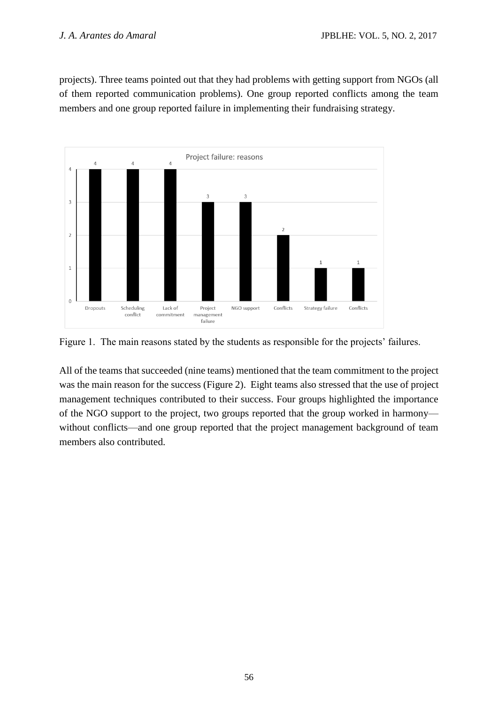projects). Three teams pointed out that they had problems with getting support from NGOs (all of them reported communication problems). One group reported conflicts among the team members and one group reported failure in implementing their fundraising strategy.



Figure 1. The main reasons stated by the students as responsible for the projects' failures.

All of the teams that succeeded (nine teams) mentioned that the team commitment to the project was the main reason for the success (Figure 2). Eight teams also stressed that the use of project management techniques contributed to their success. Four groups highlighted the importance of the NGO support to the project, two groups reported that the group worked in harmony without conflicts—and one group reported that the project management background of team members also contributed.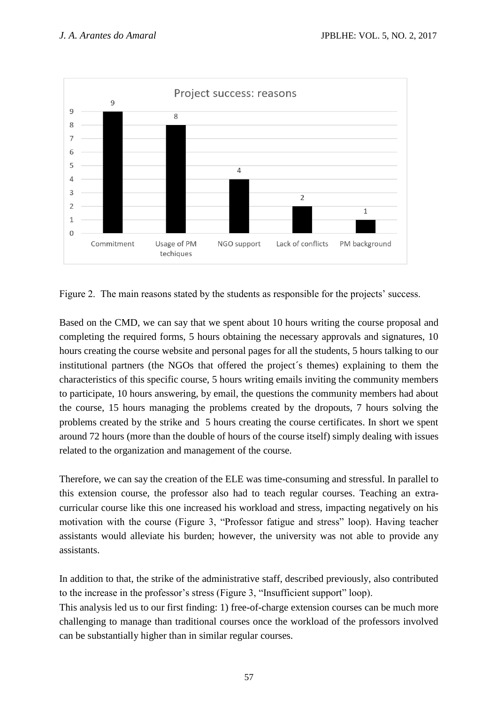

Figure 2. The main reasons stated by the students as responsible for the projects' success.

Based on the CMD, we can say that we spent about 10 hours writing the course proposal and completing the required forms, 5 hours obtaining the necessary approvals and signatures, 10 hours creating the course website and personal pages for all the students, 5 hours talking to our institutional partners (the NGOs that offered the project´s themes) explaining to them the characteristics of this specific course, 5 hours writing emails inviting the community members to participate, 10 hours answering, by email, the questions the community members had about the course, 15 hours managing the problems created by the dropouts, 7 hours solving the problems created by the strike and 5 hours creating the course certificates. In short we spent around 72 hours (more than the double of hours of the course itself) simply dealing with issues related to the organization and management of the course.

Therefore, we can say the creation of the ELE was time-consuming and stressful. In parallel to this extension course, the professor also had to teach regular courses. Teaching an extracurricular course like this one increased his workload and stress, impacting negatively on his motivation with the course (Figure 3, "Professor fatigue and stress" loop). Having teacher assistants would alleviate his burden; however, the university was not able to provide any assistants.

In addition to that, the strike of the administrative staff, described previously, also contributed to the increase in the professor's stress (Figure 3, "Insufficient support" loop).

This analysis led us to our first finding: 1) free-of-charge extension courses can be much more challenging to manage than traditional courses once the workload of the professors involved can be substantially higher than in similar regular courses.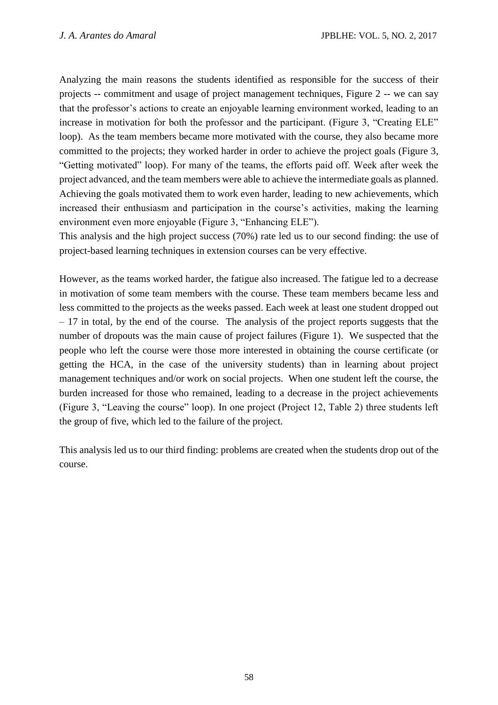Analyzing the main reasons the students identified as responsible for the success of their projects -- commitment and usage of project management techniques, Figure 2 -- we can say that the professor's actions to create an enjoyable learning environment worked, leading to an increase in motivation for both the professor and the participant. (Figure 3, "Creating ELE" loop). As the team members became more motivated with the course, they also became more committed to the projects; they worked harder in order to achieve the project goals (Figure 3, "Getting motivated" loop). For many of the teams, the efforts paid off. Week after week the project advanced, and the team members were able to achieve the intermediate goals as planned. Achieving the goals motivated them to work even harder, leading to new achievements, which increased their enthusiasm and participation in the course's activities, making the learning environment even more enjoyable (Figure 3, "Enhancing ELE").

This analysis and the high project success (70%) rate led us to our second finding: the use of project-based learning techniques in extension courses can be very effective.

However, as the teams worked harder, the fatigue also increased. The fatigue led to a decrease in motivation of some team members with the course. These team members became less and less committed to the projects as the weeks passed. Each week at least one student dropped out  $-17$  in total, by the end of the course. The analysis of the project reports suggests that the number of dropouts was the main cause of project failures (Figure 1). We suspected that the people who left the course were those more interested in obtaining the course certificate (or getting the HCA, in the case of the university students) than in learning about project management techniques and/or work on social projects. When one student left the course, the burden increased for those who remained, leading to a decrease in the project achievements (Figure 3, "Leaving the course" loop). In one project (Project 12, Table 2) three students left the group of five, which led to the failure of the project.

This analysis led us to our third finding: problems are created when the students drop out of the course.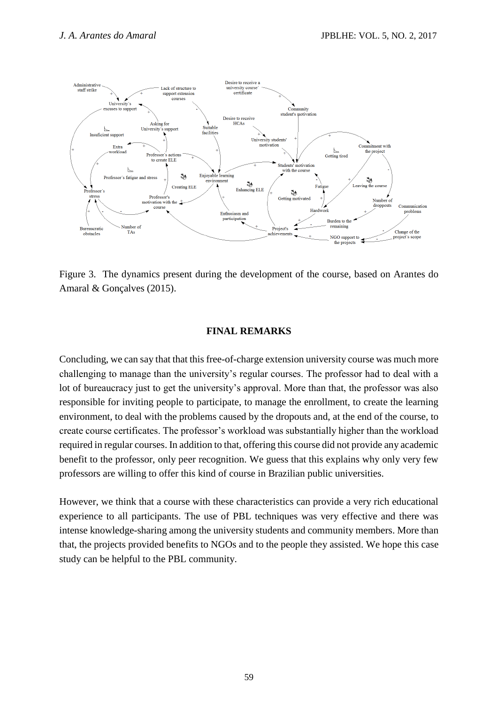

Figure 3. The dynamics present during the development of the course, based on Arantes do Amaral & Gonçalves (2015).

#### **FINAL REMARKS**

Concluding, we can say that that this free-of-charge extension university course was much more challenging to manage than the university's regular courses. The professor had to deal with a lot of bureaucracy just to get the university's approval. More than that, the professor was also responsible for inviting people to participate, to manage the enrollment, to create the learning environment, to deal with the problems caused by the dropouts and, at the end of the course, to create course certificates. The professor's workload was substantially higher than the workload required in regular courses. In addition to that, offering this course did not provide any academic benefit to the professor, only peer recognition. We guess that this explains why only very few professors are willing to offer this kind of course in Brazilian public universities.

However, we think that a course with these characteristics can provide a very rich educational experience to all participants. The use of PBL techniques was very effective and there was intense knowledge-sharing among the university students and community members. More than that, the projects provided benefits to NGOs and to the people they assisted. We hope this case study can be helpful to the PBL community.